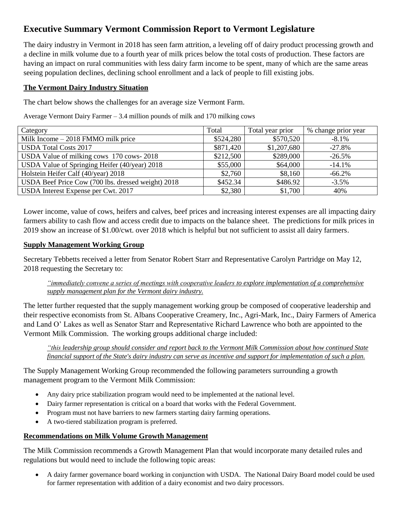# **Executive Summary Vermont Commission Report to Vermont Legislature**

The dairy industry in Vermont in 2018 has seen farm attrition, a leveling off of dairy product processing growth and a decline in milk volume due to a fourth year of milk prices below the total costs of production. These factors are having an impact on rural communities with less dairy farm income to be spent, many of which are the same areas seeing population declines, declining school enrollment and a lack of people to fill existing jobs.

### **The Vermont Dairy Industry Situation**

The chart below shows the challenges for an average size Vermont Farm.

Average Vermont Dairy Farmer – 3.4 million pounds of milk and 170 milking cows

| Category                                           | Total     | Total year prior | % change prior year |
|----------------------------------------------------|-----------|------------------|---------------------|
| Milk Income $-2018$ FMMO milk price                | \$524,280 | \$570,520        | $-8.1\%$            |
| <b>USDA Total Costs 2017</b>                       | \$871,420 | \$1,207,680      | $-27.8%$            |
| USDA Value of milking cows 170 cows-2018           | \$212,500 | \$289,000        | $-26.5%$            |
| USDA Value of Springing Heifer (40/year) 2018      | \$55,000  | \$64,000         | $-14.1%$            |
| Holstein Heifer Calf (40/year) 2018                | \$2,760   | \$8,160          | $-66.2%$            |
| USDA Beef Price Cow (700 lbs. dressed weight) 2018 | \$452.34  | \$486.92         | $-3.5\%$            |
| USDA Interest Expense per Cwt. 2017                | \$2,380   | \$1,700          | 40%                 |

Lower income, value of cows, heifers and calves, beef prices and increasing interest expenses are all impacting dairy farmers ability to cash flow and access credit due to impacts on the balance sheet. The predictions for milk prices in 2019 show an increase of \$1.00/cwt. over 2018 which is helpful but not sufficient to assist all dairy farmers.

### **Supply Management Working Group**

Secretary Tebbetts received a letter from Senator Robert Starr and Representative Carolyn Partridge on May 12, 2018 requesting the Secretary to:

*"immediately convene a series of meetings with cooperative leaders to explore implementation of a comprehensive supply management plan for the Vermont dairy industry.*

The letter further requested that the supply management working group be composed of cooperative leadership and their respective economists from St. Albans Cooperative Creamery, Inc., Agri-Mark, Inc., Dairy Farmers of America and Land O' Lakes as well as Senator Starr and Representative Richard Lawrence who both are appointed to the Vermont Milk Commission. The working groups additional charge included:

*"this leadership group should consider and report back to the Vermont Milk Commission about how continued State financial support of the State's dairy industry can serve as incentive and support for implementation of such a plan.*

The Supply Management Working Group recommended the following parameters surrounding a growth management program to the Vermont Milk Commission:

- Any dairy price stabilization program would need to be implemented at the national level.
- Dairy farmer representation is critical on a board that works with the Federal Government.
- Program must not have barriers to new farmers starting dairy farming operations.
- A two-tiered stabilization program is preferred.

## **Recommendations on Milk Volume Growth Management**

The Milk Commission recommends a Growth Management Plan that would incorporate many detailed rules and regulations but would need to include the following topic areas:

• A dairy farmer governance board working in conjunction with USDA. The National Dairy Board model could be used for farmer representation with addition of a dairy economist and two dairy processors.